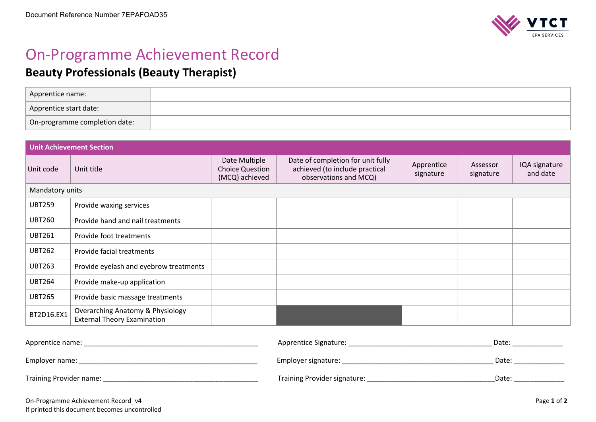

## On-Programme Achievement Record

## **Beauty Professionals (Beauty Therapist)**

| Apprentice name:              |  |
|-------------------------------|--|
| Apprentice start date:        |  |
| On-programme completion date: |  |

| <b>Unit Achievement Section</b> |                                                                                   |                                                           |                                                                                              |                         |                       |                           |  |  |
|---------------------------------|-----------------------------------------------------------------------------------|-----------------------------------------------------------|----------------------------------------------------------------------------------------------|-------------------------|-----------------------|---------------------------|--|--|
| Unit code                       | Unit title                                                                        | Date Multiple<br><b>Choice Question</b><br>(MCQ) achieved | Date of completion for unit fully<br>achieved (to include practical<br>observations and MCQ) | Apprentice<br>signature | Assessor<br>signature | IQA signature<br>and date |  |  |
| Mandatory units                 |                                                                                   |                                                           |                                                                                              |                         |                       |                           |  |  |
| <b>UBT259</b>                   | Provide waxing services                                                           |                                                           |                                                                                              |                         |                       |                           |  |  |
| <b>UBT260</b>                   | Provide hand and nail treatments                                                  |                                                           |                                                                                              |                         |                       |                           |  |  |
| <b>UBT261</b>                   | Provide foot treatments                                                           |                                                           |                                                                                              |                         |                       |                           |  |  |
| <b>UBT262</b>                   | Provide facial treatments                                                         |                                                           |                                                                                              |                         |                       |                           |  |  |
| <b>UBT263</b>                   | Provide eyelash and eyebrow treatments                                            |                                                           |                                                                                              |                         |                       |                           |  |  |
| <b>UBT264</b>                   | Provide make-up application                                                       |                                                           |                                                                                              |                         |                       |                           |  |  |
| <b>UBT265</b>                   | Provide basic massage treatments                                                  |                                                           |                                                                                              |                         |                       |                           |  |  |
| BT2D16.EX1                      | <b>Overarching Anatomy &amp; Physiology</b><br><b>External Theory Examination</b> |                                                           |                                                                                              |                         |                       |                           |  |  |
|                                 |                                                                                   |                                                           |                                                                                              |                         |                       |                           |  |  |

| Apprentice name:        | Apprentice Signature:        | Date  |
|-------------------------|------------------------------|-------|
| Employer name:          | Employer signature:          | Date: |
| Training Provider name: | Training Provider signature: | Date: |